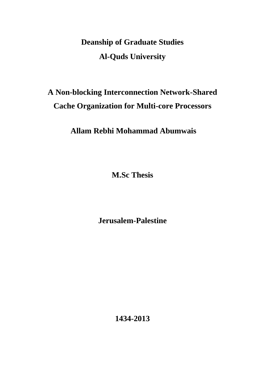**Deanship of Graduate Studies Al-Quds University**

## **A Non-blocking Interconnection Network-Shared Cache Organization for Multi-core Processors**

## **Allam Rebhi Mohammad Abumwais**

**M.Sc Thesis**

**Jerusalem-Palestine**

**1434-2013**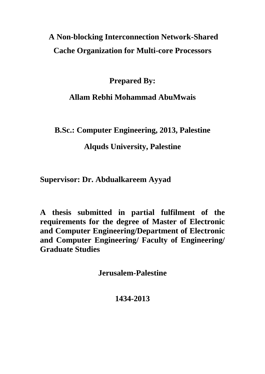## **A Non-blocking Interconnection Network-Shared Cache Organization for Multi-core Processors**

## **Prepared By:**

## **Allam Rebhi Mohammad AbuMwais**

### **B.Sc.: Computer Engineering, 2013, Palestine**

### **Alquds University, Palestine**

### **Supervisor: Dr. Abdualkareem Ayyad**

**A thesis submitted in partial fulfilment of the requirements for the degree of Master of Electronic and Computer Engineering/Department of Electronic and Computer Engineering/ Faculty of Engineering/ Graduate Studies**

**Jerusalem-Palestine**

#### **1434-2013**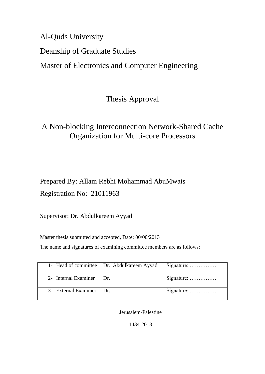Al-Quds University

## Deanship of Graduate Studies

Master of Electronics and Computer Engineering

Thesis Approval

## A Non-blocking Interconnection Network-Shared Cache Organization for Multi-core Processors

Prepared By: Allam Rebhi Mohammad AbuMwais Registration No: 21011963

Supervisor: Dr. Abdulkareem Ayyad

Master thesis submitted and accepted, Date: 00/00/2013

The name and signatures of examining committee members are as follows:

|                            | 1- Head of committee   Dr. Abdulkareem Ayyad   Signature: |            |
|----------------------------|-----------------------------------------------------------|------------|
| 2- Internal Examiner   Dr. |                                                           | Signature: |
| 3- External Examiner   Dr. |                                                           | Signature: |

Jerusalem-Palestine

1434-2013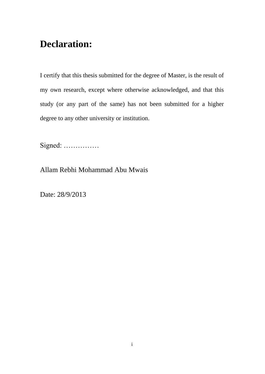## **Declaration:**

I certify that this thesis submitted for the degree of Master, is the result of my own research, except where otherwise acknowledged, and that this study (or any part of the same) has not been submitted for a higher degree to any other university or institution.

Signed: ……………

Allam Rebhi Mohammad Abu Mwais

Date: 28/9/2013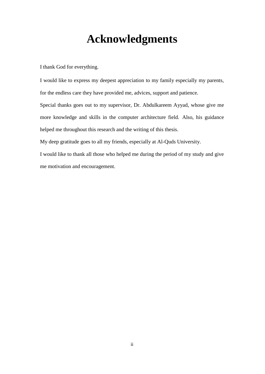## **Acknowledgments**

<span id="page-4-0"></span>I thank God for everything.

I would like to express my deepest appreciation to my family especially my parents, for the endless care they have provided me, advices, support and patience. Special thanks goes out to my supervisor, Dr. Abdulkareem Ayyad, whose give me more knowledge and skills in the computer architecture field. Also, his guidance helped me throughout this research and the writing of this thesis.

My deep gratitude goes to all my friends, especially at Al-Quds University.

I would like to thank all those who helped me during the period of my study and give me motivation and encouragement.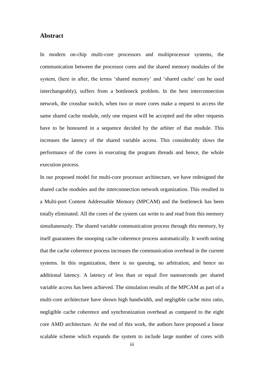#### **Abstract**

In modern on-chip multi-core processors and multiprocessor systems, the communication between the processor cores and the shared memory modules of the system, (here in after, the terms 'shared memory' and 'shared cache' can be used interchangeably), suffers from a bottleneck problem. In the best interconnection network, the crossbar switch, when two or more cores make a request to access the same shared cache module, only one request will be accepted and the other requests have to be honoured in a sequence decided by the arbiter of that module. This increases the latency of the shared variable access. This considerably slows the performance of the cores in executing the program threads and hence, the whole execution process.

In our proposed model for multi-core processor architecture, we have redesigned the shared cache modules and the interconnection network organization. This resulted in a Multi-port Content Addressable Memory (MPCAM) and the bottleneck has been totally eliminated. All the cores of the system can write to and read from this memory simultaneously. The shared variable communication process through this memory, by itself guarantees the snooping cache coherence process automatically. It worth noting that the cache coherence process increases the communication overhead in the current systems. In this organization, there is no queuing, no arbitration, and hence no additional latency. A latency of less than or equal five nanoseconds per shared variable access has been achieved. The simulation results of the MPCAM as part of a multi-core architecture have shown high bandwidth, and negligible cache miss ratio, negligible cache coherence and synchronization overhead as compared to the eight core AMD architecture. At the end of this work, the authors have proposed a linear scalable scheme which expands the system to include large number of cores with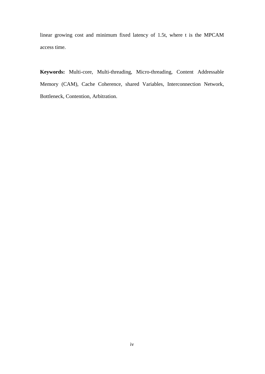linear growing cost and minimum fixed latency of 1.5t, where t is the MPCAM access time.

**Keywords:** Multi-core, Multi-threading, Micro-threading, Content Addressable Memory (CAM), Cache Coherence, shared Variables, Interconnection Network, Bottleneck, Contention, Arbitration.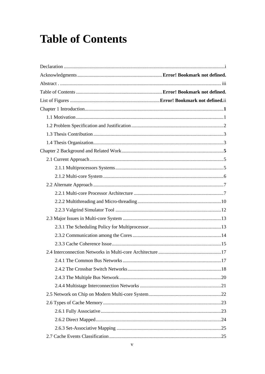## **Table of Contents**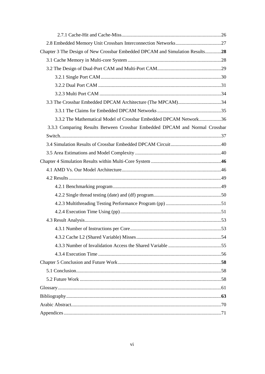| Chapter 3 The Design of New Crossbar Embedded DPCAM and Simulation Results28 |  |
|------------------------------------------------------------------------------|--|
|                                                                              |  |
|                                                                              |  |
|                                                                              |  |
|                                                                              |  |
|                                                                              |  |
| 3.3 The Crossbar Embedded DPCAM Architecture (The MPCAM)34                   |  |
|                                                                              |  |
| 3.3.2 The Mathematical Model of Crossbar Embedded DPCAM Network36            |  |
| 3.3.3 Comparing Results Between Crossbar Embedded DPCAM and Normal Crossbar  |  |
|                                                                              |  |
|                                                                              |  |
|                                                                              |  |
|                                                                              |  |
|                                                                              |  |
|                                                                              |  |
|                                                                              |  |
|                                                                              |  |
|                                                                              |  |
|                                                                              |  |
|                                                                              |  |
|                                                                              |  |
|                                                                              |  |
|                                                                              |  |
|                                                                              |  |
|                                                                              |  |
|                                                                              |  |
|                                                                              |  |
|                                                                              |  |
|                                                                              |  |
|                                                                              |  |
|                                                                              |  |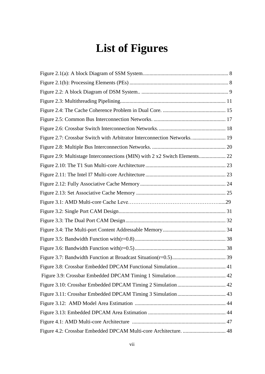# **List of Figures**

| Figure 2.7: Crossbar Switch with Arbitrator Interconnection Networks 19    |  |
|----------------------------------------------------------------------------|--|
|                                                                            |  |
| Figure 2.9: Multistage Interconnections (MIN) with 2 x2 Switch Elements 22 |  |
|                                                                            |  |
|                                                                            |  |
|                                                                            |  |
|                                                                            |  |
|                                                                            |  |
|                                                                            |  |
|                                                                            |  |
|                                                                            |  |
|                                                                            |  |
|                                                                            |  |
|                                                                            |  |
|                                                                            |  |
|                                                                            |  |
|                                                                            |  |
|                                                                            |  |
|                                                                            |  |
|                                                                            |  |
|                                                                            |  |
| Figure 4.2: Crossbar Embedded DPCAM Multi-core Architecture.  48           |  |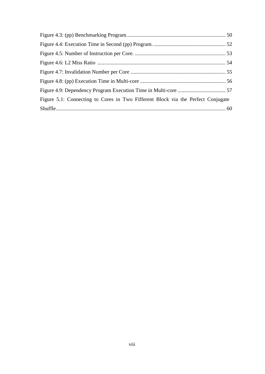| Figure 5.1: Connecting to Cores in Two Fifferent Block via the Perfect Conjugate |
|----------------------------------------------------------------------------------|
|                                                                                  |
|                                                                                  |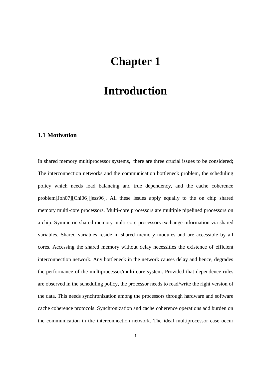## <span id="page-11-0"></span>**Chapter 1**

## **Introduction**

#### <span id="page-11-1"></span>**1.1 Motivation**

In shared memory multiprocessor systems, there are three crucial issues to be considered; The interconnection networks and the communication bottleneck problem, the scheduling policy which needs load balancing and true dependency, and the cache coherence problem[Joh07][Chi06][jess96]. All these issues apply equally to the on chip shared memory multi-core processors. Multi-core processors are multiple pipelined processors on a chip. Symmetric shared memory multi-core processors exchange information via shared variables. Shared variables reside in shared memory modules and are accessible by all cores. Accessing the shared memory without delay necessities the existence of efficient interconnection network. Any bottleneck in the network causes delay and hence, degrades the performance of the multiprocessor/multi-core system. Provided that dependence rules are observed in the scheduling policy, the processor needs to read/write the right version of the data. This needs synchronization among the processors through hardware and software cache coherence protocols. Synchronization and cache coherence operations add burden on the communication in the interconnection network. The ideal multiprocessor case occur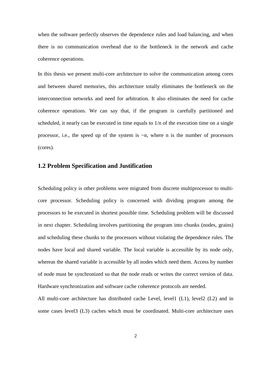when the software perfectly observes the dependence rules and load balancing, and when there is no communication overhead due to the bottleneck in the network and cache coherence operations.

In this thesis we present multi-core architecture to solve the communication among cores and between shared memories, this architecture totally eliminates the bottleneck on the interconnection networks and need for arbitration. It also eliminates the need for cache coherence operations. We can say that, if the program is carefully partitioned and scheduled, it nearly can be executed in time equals to 1/n of the execution time on a single processor, i.e., the speed up of the system is ~n, where n is the number of processors (cores).

#### <span id="page-12-0"></span>**1.2 Problem Specification and Justification**

Scheduling policy is other problems were migrated from discrete multiprocessor to multicore processor. Scheduling policy is concerned with dividing program among the processors to be executed in shortest possible time. Scheduling problem will be discussed in next chapter. Scheduling involves partitioning the program into chunks (nodes, grains) and scheduling these chunks to the processors without violating the dependence rules. The nodes have local and shared variable. The local variable is accessible by its node only, whereas the shared variable is accessible by all nodes which need them. Access by number of node must be synchronized so that the node reads or writes the correct version of data. Hardware synchronization and software cache coherence protocols are needed.

All multi-core architecture has distributed cache Level, level1 (L1), level2 (L2) and in some cases level3 (L3) caches which must be coordinated. Multi-core architecture uses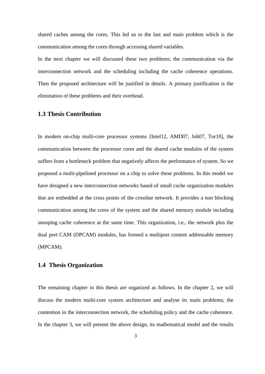shared caches among the cores. This led us to the last and main problem which is the communication among the cores through accessing shared variables.

In the next chapter we will discussed these two problems; the communication via the interconnection network and the scheduling including the cache coherence operations. Then the proposed architecture will be justified in details. A primary justification is the elimination of these problems and their overhead.

#### <span id="page-13-0"></span>**1.3 Thesis Contribution**

In modern on-chip multi-core processor systems [Intel12, AMD07, Joh07, Tor10], the communication between the processor cores and the shared cache modules of the system suffers from a bottleneck problem that negatively affects the performance of system. So we proposed a multi-pipelined processor on a chip to solve these problems. In this model we have designed a new interconnection networks based of small cache organization modules that are embedded at the cross points of the crossbar network. It provides a non blocking communication among the cores of the system and the shared memory module including snooping cache coherence at the same time. This organization, i.e., the network plus the dual port CAM (DPCAM) modules, has formed a multiport content addressable memory (MPCAM).

#### <span id="page-13-1"></span>**1.4 Thesis Organization**

The remaining chapter in this thesis are organized as follows. In the chapter 2, we will discuss the modern multi-core system architecture and analyse its main problems; the contention in the interconnection network, the scheduling policy and the cache coherence. In the chapter 3, we will present the above design, its mathematical model and the results